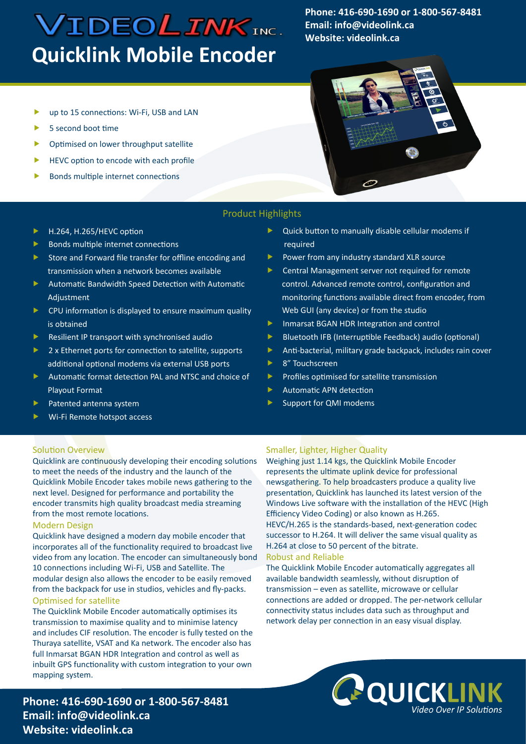# **VIDEOLINKINC. Quicklink Mobile Encoder**

**Phone: 416-690-1690 or 1-800-567-8481 Email: info@videolink.ca Website: videolink.ca**

- up to 15 connections: Wi-Fi, USB and LAN
- 5 second boot time
- Optimised on lower throughput satellite
- HEVC option to encode with each profile
- Bonds multiple internet connections



## Product Highlights

- H.264, H.265/HEVC option
- $\blacktriangleright$  Bonds multiple internet connections
- Store and Forward file transfer for offline encoding and transmission when a network becomes available
- **Automatic Bandwidth Speed Detection with Automatic** Adjustment
- **D** CPU information is displayed to ensure maximum quality is obtained
- Resilient IP transport with synchronised audio
- ▶ 2 x Ethernet ports for connection to satellite, supports additional optional modems via external USB ports
- Automatic format detection PAL and NTSC and choice of Playout Format
- $\blacktriangleright$  Patented antenna system
- Wi-Fi Remote hotspot access
- Quick button to manually disable cellular modems if required
- Power from any industry standard XLR source
- Central Management server not required for remote control. Advanced remote control, configuration and monitoring functions available direct from encoder, from Web GUI (any device) or from the studio
- **Inmarsat BGAN HDR Integration and control**
- Bluetooth IFB (Interruptible Feedback) audio (optional)
- Anti-bacterial, military grade backpack, includes rain cover
- ▶ 8" Touchscreen
- Profiles optimised for satellite transmission
- Automatic APN detection
- Support for QMI modems

## Solution Overview

Quicklink are continuously developing their encoding solutions to meet the needs of the industry and the launch of the Quicklink Mobile Encoder takes mobile news gathering to the next level. Designed for performance and portability the encoder transmits high quality broadcast media streaming from the most remote locations.

### Modern Design

Quicklink have designed a modern day mobile encoder that incorporates all of the functionality required to broadcast live video from any location. The encoder can simultaneously bond 10 connections including Wi-Fi, USB and Satellite. The modular design also allows the encoder to be easily removed from the backpack for use in studios, vehicles and fly-packs. Optimised for satellite

The Quicklink Mobile Encoder automatically optimises its transmission to maximise quality and to minimise latency and includes CIF resolution. The encoder is fully tested on the Thuraya satellite, VSAT and Ka network. The encoder also has full Inmarsat BGAN HDR Integration and control as well as inbuilt GPS functionality with custom integration to your own mapping system.

## **Phone: 416-690-1690 or 1-800-567-8481 Email: info@videolink.ca Website: videolink.ca**

## Smaller, Lighter, Higher Quality

Weighing just 1.14 kgs, the Quicklink Mobile Encoder represents the ultimate uplink device for professional newsgathering. To help broadcasters produce a quality live presentation, Quicklink has launched its latest version of the Windows Live software with the installation of the HEVC (High Efficiency Video Coding) or also known as H.265. HEVC/H.265 is the standards-based, next-generation codec successor to H.264. It will deliver the same visual quality as H.264 at close to 50 percent of the bitrate.

#### Robust and Reliable

The Quicklink Mobile Encoder automatically aggregates all available bandwidth seamlessly, without disruption of transmission – even as satellite, microwave or cellular connections are added or dropped. The per-network cellular connectivity status includes data such as throughput and network delay per connection in an easy visual display.